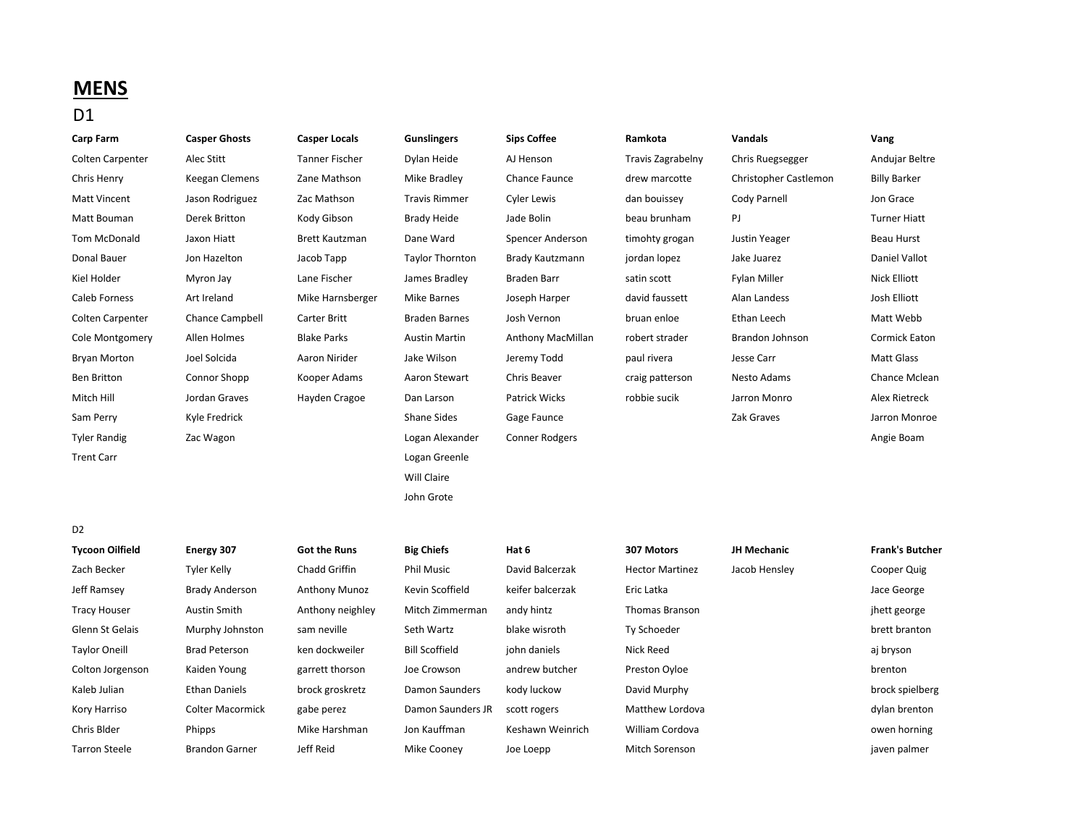## **MENS**

## D1

| <b>Carp Farm</b>        | <b>Casper Ghosts</b>  | <b>Casper Locals</b>  | <b>Gunslingers</b>     | <b>Sips Coffee</b>    | Ramkota                | <b>Vandals</b>        | Vang                   |
|-------------------------|-----------------------|-----------------------|------------------------|-----------------------|------------------------|-----------------------|------------------------|
| <b>Colten Carpenter</b> | Alec Stitt            | <b>Tanner Fischer</b> | Dylan Heide            | AJ Henson             | Travis Zagrabelny      | Chris Ruegsegger      | Andujar Beltre         |
| Chris Henry             | Keegan Clemens        | Zane Mathson          | Mike Bradley           | Chance Faunce         | drew marcotte          | Christopher Castlemon | <b>Billy Barker</b>    |
| <b>Matt Vincent</b>     | Jason Rodriguez       | Zac Mathson           | <b>Travis Rimmer</b>   | <b>Cyler Lewis</b>    | dan bouissey           | Cody Parnell          | Jon Grace              |
| Matt Bouman             | <b>Derek Britton</b>  | Kody Gibson           | <b>Brady Heide</b>     | Jade Bolin            | beau brunham           | PJ                    | <b>Turner Hiatt</b>    |
| Tom McDonald            | Jaxon Hiatt           | <b>Brett Kautzman</b> | Dane Ward              | Spencer Anderson      | timohty grogan         | Justin Yeager         | <b>Beau Hurst</b>      |
| <b>Donal Bauer</b>      | Jon Hazelton          | Jacob Tapp            | <b>Taylor Thornton</b> | Brady Kautzmann       | jordan lopez           | Jake Juarez           | Daniel Vallot          |
| Kiel Holder             | Myron Jay             | Lane Fischer          | James Bradley          | <b>Braden Barr</b>    | satin scott            | Fylan Miller          | <b>Nick Elliott</b>    |
| Caleb Forness           | Art Ireland           | Mike Harnsberger      | <b>Mike Barnes</b>     | Joseph Harper         | david faussett         | Alan Landess          | Josh Elliott           |
| Colten Carpenter        | Chance Campbell       | Carter Britt          | <b>Braden Barnes</b>   | Josh Vernon           | bruan enloe            | Ethan Leech           | Matt Webb              |
| Cole Montgomery         | Allen Holmes          | <b>Blake Parks</b>    | <b>Austin Martin</b>   | Anthony MacMillan     | robert strader         | Brandon Johnson       | <b>Cormick Eaton</b>   |
| <b>Bryan Morton</b>     | Joel Solcida          | Aaron Nirider         | Jake Wilson            | Jeremy Todd           | paul rivera            | Jesse Carr            | <b>Matt Glass</b>      |
| <b>Ben Britton</b>      | Connor Shopp          | Kooper Adams          | Aaron Stewart          | Chris Beaver          | craig patterson        | Nesto Adams           | Chance Mclean          |
| Mitch Hill              | Jordan Graves         | Hayden Cragoe         | Dan Larson             | <b>Patrick Wicks</b>  | robbie sucik           | Jarron Monro          | Alex Rietreck          |
| Sam Perry               | Kyle Fredrick         |                       | <b>Shane Sides</b>     | Gage Faunce           |                        | Zak Graves            | Jarron Monroe          |
| <b>Tyler Randig</b>     | Zac Wagon             |                       | Logan Alexander        | <b>Conner Rodgers</b> |                        |                       | Angie Boam             |
| <b>Trent Carr</b>       |                       |                       | Logan Greenle          |                       |                        |                       |                        |
|                         |                       |                       | Will Claire            |                       |                        |                       |                        |
|                         |                       |                       | John Grote             |                       |                        |                       |                        |
|                         |                       |                       |                        |                       |                        |                       |                        |
| D <sub>2</sub>          |                       |                       |                        |                       |                        |                       |                        |
| <b>Tycoon Oilfield</b>  | Energy 307            | <b>Got the Runs</b>   | <b>Big Chiefs</b>      | Hat 6                 | 307 Motors             | <b>JH Mechanic</b>    | <b>Frank's Butcher</b> |
| Zach Becker             | Tyler Kelly           | Chadd Griffin         | <b>Phil Music</b>      | David Balcerzak       | <b>Hector Martinez</b> | Jacob Hensley         | Cooper Quig            |
| Jeff Ramsey             | <b>Brady Anderson</b> | Anthony Munoz         | Kevin Scoffield        | keifer balcerzak      | Eric Latka             |                       | Jace George            |
| <b>Tracy Houser</b>     | <b>Austin Smith</b>   | Anthony neighley      | Mitch Zimmerman        | andy hintz            | Thomas Branson         |                       | jhett george           |
| Glenn St Gelais         | Murphy Johnston       | sam neville           | Seth Wartz             | blake wisroth         | Ty Schoeder            |                       | brett branton          |

| Zach Becker      | Tyler Kelly             | Chadd Griffin        | <b>Phil Music</b>     | David Balcerzak  | <b>Hector Martinez</b> | Jacob Hensley | Cooper Quig     |
|------------------|-------------------------|----------------------|-----------------------|------------------|------------------------|---------------|-----------------|
| Jeff Ramsey      | <b>Brady Anderson</b>   | <b>Anthony Munoz</b> | Kevin Scoffield       | keifer balcerzak | Eric Latka             |               | Jace George     |
| Tracy Houser     | Austin Smith            | Anthony neighley     | Mitch Zimmerman       | andy hintz       | <b>Thomas Branson</b>  |               | jhett george    |
| Glenn St Gelais  | Murphy Johnston         | sam neville          | Seth Wartz            | blake wisroth    | Ty Schoeder            |               | brett branton   |
| Taylor Oneill    | <b>Brad Peterson</b>    | ken dockweiler       | <b>Bill Scoffield</b> | john daniels     | Nick Reed              |               | aj bryson       |
| Colton Jorgenson | Kaiden Young            | garrett thorson      | Joe Crowson           | andrew butcher   | Preston Oyloe          |               | brenton         |
| Kaleb Julian     | <b>Ethan Daniels</b>    | brock groskretz      | Damon Saunders        | kody luckow      | David Murphy           |               | brock spielberg |
| Kory Harriso     | <b>Colter Macormick</b> | gabe perez           | Damon Saunders JR     | scott rogers     | Matthew Lordova        |               | dylan brenton   |
| Chris Blder      | Phipps                  | Mike Harshman        | Jon Kauffman          | Keshawn Weinrich | William Cordova        |               | owen horning    |
| Tarron Steele    | <b>Brandon Garner</b>   | Jeff Reid            | Mike Cooney           | Joe Loepp        | <b>Mitch Sorenson</b>  |               | javen palmer    |
|                  |                         |                      |                       |                  |                        |               |                 |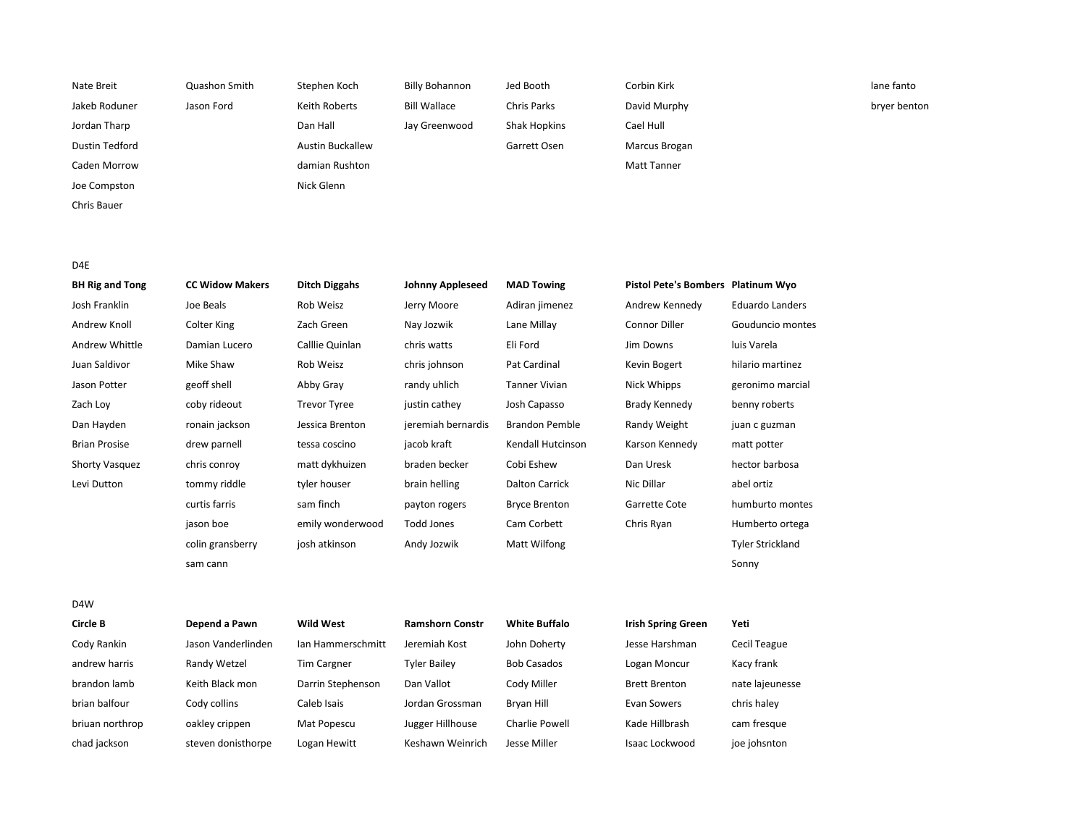| Nate Breit     | Quashon Smith | Stephen Koch            | Billy Bohannon      | Jed Booth    | Corbin Kirk   | lane fanto   |
|----------------|---------------|-------------------------|---------------------|--------------|---------------|--------------|
| Jakeb Roduner  | Jason Ford    | Keith Roberts           | <b>Bill Wallace</b> | Chris Parks  | David Murphy  | bryer benton |
| Jordan Tharp   |               | Dan Hall                | Jay Greenwood       | Shak Hopkins | Cael Hull     |              |
| Dustin Tedford |               | <b>Austin Buckallew</b> |                     | Garrett Osen | Marcus Brogan |              |
| Caden Morrow   |               | damian Rushton          |                     |              | Matt Tanner   |              |
| Joe Compston   |               | Nick Glenn              |                     |              |               |              |
| Chris Bauer    |               |                         |                     |              |               |              |
|                |               |                         |                     |              |               |              |
|                |               |                         |                     |              |               |              |

D4E

| <b>BH Rig and Tong</b> | <b>CC Widow Makers</b> | <b>Ditch Diggahs</b> | <b>Johnny Appleseed</b> | <b>MAD Towing</b>     | Pistol Pete's Bombers Platinum Wyo |                         |
|------------------------|------------------------|----------------------|-------------------------|-----------------------|------------------------------------|-------------------------|
| Josh Franklin          | Joe Beals              | Rob Weisz            | Jerry Moore             | Adiran jimenez        | Andrew Kennedy                     | <b>Eduardo Landers</b>  |
| Andrew Knoll           | <b>Colter King</b>     | Zach Green           | Nay Jozwik              | Lane Millay           | Connor Diller                      | Gouduncio montes        |
| Andrew Whittle         | Damian Lucero          | Calllie Quinlan      | chris watts             | Eli Ford              | Jim Downs                          | luis Varela             |
| Juan Saldivor          | Mike Shaw              | Rob Weisz            | chris johnson           | Pat Cardinal          | Kevin Bogert                       | hilario martinez        |
| Jason Potter           | geoff shell            | Abby Gray            | randy uhlich            | Tanner Vivian         | Nick Whipps                        | geronimo marcial        |
| Zach Loy               | coby rideout           | <b>Trevor Tyree</b>  | justin cathey           | Josh Capasso          | Brady Kennedy                      | benny roberts           |
| Dan Hayden             | ronain jackson         | Jessica Brenton      | jeremiah bernardis      | <b>Brandon Pemble</b> | Randy Weight                       | juan c guzman           |
| <b>Brian Prosise</b>   | drew parnell           | tessa coscino        | jacob kraft             | Kendall Hutcinson     | Karson Kennedy                     | matt potter             |
| <b>Shorty Vasquez</b>  | chris conroy           | matt dykhuizen       | braden becker           | Cobi Eshew            | Dan Uresk                          | hector barbosa          |
| Levi Dutton            | tommy riddle           | tyler houser         | brain helling           | <b>Dalton Carrick</b> | Nic Dillar                         | abel ortiz              |
|                        | curtis farris          | sam finch            | payton rogers           | <b>Bryce Brenton</b>  | Garrette Cote                      | humburto montes         |
|                        | jason boe              | emily wonderwood     | <b>Todd Jones</b>       | Cam Corbett           | Chris Ryan                         | Humberto ortega         |
|                        | colin gransberry       | josh atkinson        | Andy Jozwik             | Matt Wilfong          |                                    | <b>Tyler Strickland</b> |
|                        | sam cann               |                      |                         |                       |                                    | Sonny                   |

D4W

| Circle B        | Depend a Pawn      | <b>Wild West</b>   | <b>Ramshorn Constr</b> | <b>White Buffalo</b> | <b>Irish Spring Green</b> | Yeti            |
|-----------------|--------------------|--------------------|------------------------|----------------------|---------------------------|-----------------|
| Cody Rankin     | Jason Vanderlinden | Ian Hammerschmitt  | Jeremiah Kost          | John Doherty         | Jesse Harshman            | Cecil Teague    |
| andrew harris   | Randy Wetzel       | <b>Tim Cargner</b> | <b>Tyler Bailev</b>    | <b>Bob Casados</b>   | Logan Moncur              | Kacy frank      |
| brandon lamb    | Keith Black mon    | Darrin Stephenson  | Dan Vallot             | Cody Miller          | <b>Brett Brenton</b>      | nate lajeunesse |
| brian balfour   | Cody collins       | Caleb Isais        | Jordan Grossman        | Brvan Hill           | Evan Sowers               | chris halev     |
| briuan northrop | oakley crippen     | Mat Popescu        | Jugger Hillhouse       | Charlie Powell       | Kade Hillbrash            | cam fresque     |
| chad jackson    | steven donisthorpe | Logan Hewitt       | Keshawn Weinrich       | Jesse Miller         | Isaac Lockwood            | joe johsnton    |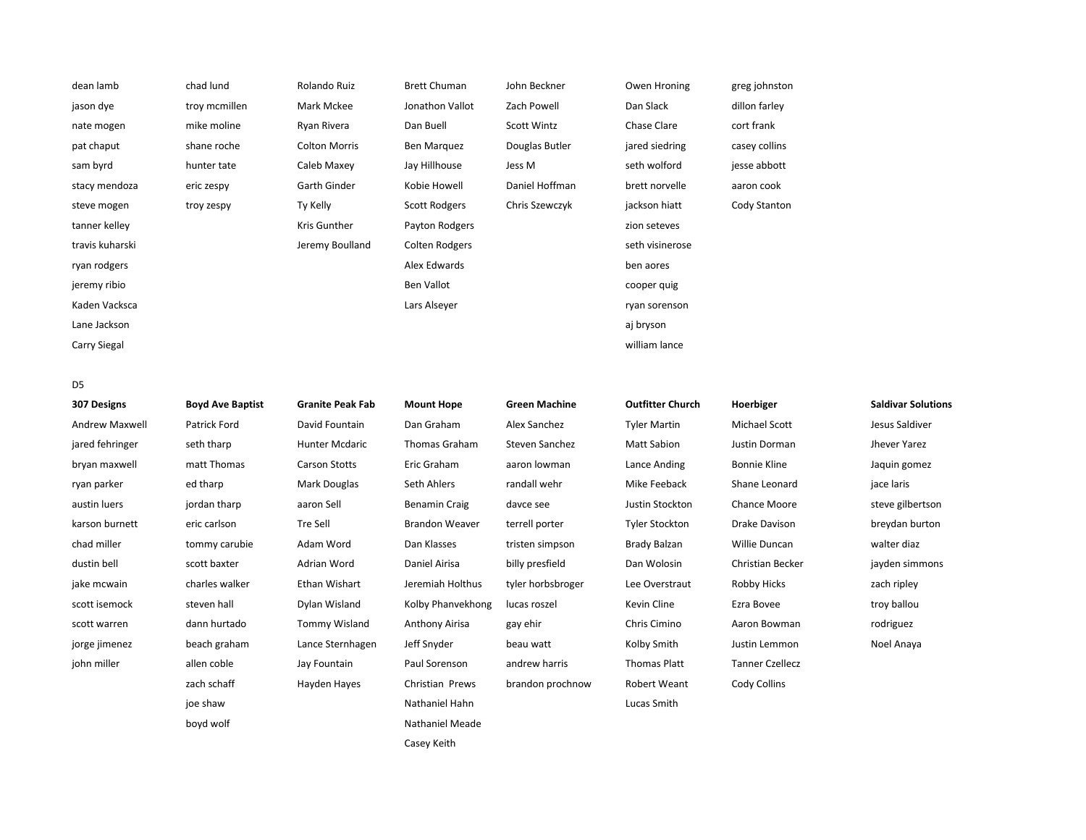| dean lamb       | chad lund     | Rolando Ruiz         | <b>Brett Chuman</b>  | John Beckner   | Owen Hroning    | greg johnston |
|-----------------|---------------|----------------------|----------------------|----------------|-----------------|---------------|
| jason dye       | troy mcmillen | Mark Mckee           | Jonathon Vallot      | Zach Powell    | Dan Slack       | dillon farley |
| nate mogen      | mike moline   | Ryan Rivera          | Dan Buell            | Scott Wintz    | Chase Clare     | cort frank    |
| pat chaput      | shane roche   | <b>Colton Morris</b> | Ben Marquez          | Douglas Butler | jared siedring  | casey collins |
| sam byrd        | hunter tate   | Caleb Maxey          | Jay Hillhouse        | Jess M         | seth wolford    | jesse abbott  |
| stacy mendoza   | eric zespy    | Garth Ginder         | Kobie Howell         | Daniel Hoffman | brett norvelle  | aaron cook    |
| steve mogen     | troy zespy    | Ty Kelly             | <b>Scott Rodgers</b> | Chris Szewczyk | jackson hiatt   | Cody Stanton  |
| tanner kelley   |               | Kris Gunther         | Payton Rodgers       |                | zion seteves    |               |
| travis kuharski |               | Jeremy Boulland      | Colten Rodgers       |                | seth visinerose |               |
| ryan rodgers    |               |                      | Alex Edwards         |                | ben aores       |               |
| jeremy ribio    |               |                      | Ben Vallot           |                | cooper quig     |               |
| Kaden Vacksca   |               |                      | Lars Alseyer         |                | ryan sorenson   |               |
| Lane Jackson    |               |                      |                      |                | aj bryson       |               |
| Carry Siegal    |               |                      |                      |                | william lance   |               |
|                 |               |                      |                      |                |                 |               |

D5

| 307 Designs           | <b>Boyd Ave Baptist</b> | <b>Granite Peak Fab</b> | <b>Mount Hope</b>     | <b>Green Machine</b> | <b>Outfitter Church</b> | Hoerbiger              | <b>Saldivar Solutions</b> |
|-----------------------|-------------------------|-------------------------|-----------------------|----------------------|-------------------------|------------------------|---------------------------|
| <b>Andrew Maxwell</b> | Patrick Ford            | David Fountain          | Dan Graham            | Alex Sanchez         | <b>Tyler Martin</b>     | Michael Scott          | Jesus Saldiver            |
| jared fehringer       | seth tharp              | <b>Hunter Mcdaric</b>   | <b>Thomas Graham</b>  | Steven Sanchez       | <b>Matt Sabion</b>      | Justin Dorman          | Jhever Yarez              |
| bryan maxwell         | matt Thomas             | <b>Carson Stotts</b>    | Eric Graham           | aaron lowman         | Lance Anding            | <b>Bonnie Kline</b>    | Jaquin gomez              |
| ryan parker           | ed tharp                | Mark Douglas            | Seth Ahlers           | randall wehr         | Mike Feeback            | Shane Leonard          | jace laris                |
| austin luers          | jordan tharp            | aaron Sell              | Benamin Craig         | davce see            | Justin Stockton         | Chance Moore           | steve gilbertson          |
| karson burnett        | eric carlson            | Tre Sell                | <b>Brandon Weaver</b> | terrell porter       | <b>Tyler Stockton</b>   | Drake Davison          | breydan burton            |
| chad miller           | tommy carubie           | Adam Word               | Dan Klasses           | tristen simpson      | Brady Balzan            | Willie Duncan          | walter diaz               |
| dustin bell           | scott baxter            | Adrian Word             | Daniel Airisa         | billy presfield      | Dan Wolosin             | Christian Becker       | jayden simmons            |
| jake mcwain           | charles walker          | Ethan Wishart           | Jeremiah Holthus      | tyler horbsbroger    | Lee Overstraut          | Robby Hicks            | zach ripley               |
| scott isemock         | steven hall             | Dylan Wisland           | Kolby Phanvekhong     | lucas roszel         | Kevin Cline             | Ezra Bovee             | troy ballou               |
| scott warren          | dann hurtado            | Tommy Wisland           | Anthony Airisa        | gay ehir             | Chris Cimino            | Aaron Bowman           | rodriguez                 |
| jorge jimenez         | beach graham            | Lance Sternhagen        | Jeff Snyder           | beau watt            | Kolby Smith             | Justin Lemmon          | Noel Anaya                |
| john miller           | allen coble             | Jay Fountain            | Paul Sorenson         | andrew harris        | <b>Thomas Platt</b>     | <b>Tanner Czellecz</b> |                           |
|                       | zach schaff             | Hayden Hayes            | Christian Prews       | brandon prochnow     | Robert Weant            | Cody Collins           |                           |
|                       | joe shaw                |                         | Nathaniel Hahn        |                      | Lucas Smith             |                        |                           |
|                       | boyd wolf               |                         | Nathaniel Meade       |                      |                         |                        |                           |
|                       |                         |                         | Casey Keith           |                      |                         |                        |                           |